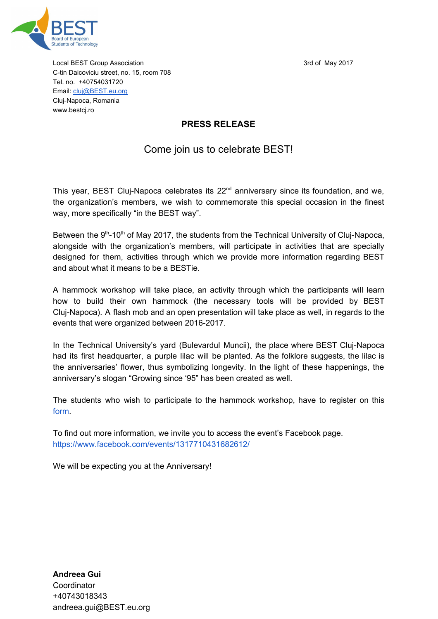

Local BEST Group Association 3rd of May 2017 C-tin Daicoviciu street, no. 15, room 708 Tel. no. +40754031720 Email: [cluj@BEST.eu.org](mailto:cluj@BEST.eu.org) Cluj-Napoca, Romania www.bestcj.ro

## **PRESS RELEASE**

## Come join us to celebrate BEST!

This year, BEST Cluj-Napoca celebrates its 22<sup>nd</sup> anniversary since its foundation, and we, the organization's members, we wish to commemorate this special occasion in the finest way, more specifically "in the BEST way".

Between the  $9<sup>th</sup>$ -10<sup>th</sup> of May 2017, the students from the Technical University of Cluj-Napoca, alongside with the organization's members, will participate in activities that are specially designed for them, activities through which we provide more information regarding BEST and about what it means to be a BESTie.

A hammock workshop will take place, an activity through which the participants will learn how to build their own hammock (the necessary tools will be provided by BEST Cluj-Napoca). A flash mob and an open presentation will take place as well, in regards to the events that were organized between 2016-2017.

In the Technical University's yard (Bulevardul Muncii), the place where BEST Cluj-Napoca had its first headquarter, a purple lilac will be planted. As the folklore suggests, the lilac is the anniversaries' flower, thus symbolizing longevity. In the light of these happenings, the anniversary's slogan "Growing since '95" has been created as well.

The students who wish to participate to the hammock workshop, have to register on this [form.](https://docs.google.com/forms/d/e/1FAIpQLSdd1ABEcNjYejK8J9esAPIhR9Q8iwKqQ6U1TEf8WhxkULkMNA/viewform)

To find out more information, we invite you to access the event's Facebook page. <https://www.facebook.com/events/1317710431682612/>

We will be expecting you at the Anniversary!

**Andreea Gui Coordinator** +40743018343 andreea.gui@BEST.eu.org